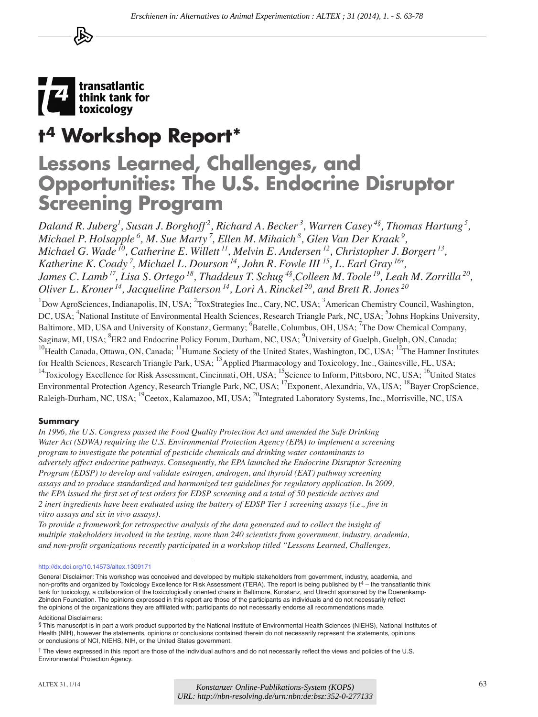

# **t4 Workshop Report\***

# **Lessons Learned, Challenges, and Opportunities: The U.S. Endocrine Disruptor Screening Program**

*Daland R. Juberg1 , Susan J. Borghoff 2, Richard A. Becker 3, Warren Casey 4§, Thomas Hartung 5 , Michael P. Holsapple 6, M. Sue Marty 7, Ellen M. Mihaich 8, Glen Van Der Kraak 9, Michael G. Wade 10, Catherine E. Willett 11, Melvin E. Andersen 12, Christopher J. Borgert 13, Katherine K. Coady 7, Michael L. Dourson 14, John R. Fowle III 15, L. Earl Gray 16†, James C. Lamb 17, Lisa S. Ortego 18, Thaddeus T. Schug 4§,Colleen M. Toole 19, Leah M. Zorrilla 20, Oliver L. Kroner 14, Jacqueline Patterson 14, Lori A. Rinckel 20, and Brett R. Jones 20*

 $1$ Dow AgroSciences, Indianapolis, IN, USA;  $2$ ToxStrategies Inc., Cary, NC, USA;  $3$ American Chemistry Council, Washington, DC, USA; <sup>4</sup>National Institute of Environmental Health Sciences, Research Triangle Park, NC, USA; <sup>5</sup>Johns Hopkins University, Baltimore, MD, USA and University of Konstanz, Germany; <sup>6</sup>Batelle, Columbus, OH, USA; <sup>7</sup>The Dow Chemical Company, Saginaw, MI, USA; <sup>8</sup>ER2 and Endocrine Policy Forum, Durham, NC, USA; <sup>9</sup>University of Guelph, Guelph, ON, Canada; <sup>10</sup>Health Canada, Ottawa, ON, Canada; <sup>11</sup>Humane Society of the United States, Washington, DC, USA; <sup>12</sup>The Hamner Institutes for Health Sciences, Research Triangle Park, USA; <sup>13</sup>Applied Pharmacology and Toxicology, Inc., Gainesville, FL, USA; <sup>14</sup>Toxicology Excellence for Risk Assessment, Cincinnati, OH, USA;  $^{15}$ Science to Inform, Pittsboro, NC, USA;  $^{16}$ United States Environmental Protection Agency, Research Triangle Park, NC, USA; <sup>17</sup>Exponent, Alexandria, VA, USA; <sup>18</sup>Bayer CropScience, Raleigh-Durham, NC, USA; <sup>19</sup>Ceetox, Kalamazoo, MI, USA; <sup>20</sup>Integrated Laboratory Systems, Inc., Morrisville, NC, USA *URL: Herminon in: Alternatives to Animal Experimentation : ALTEX ; 31 (2014), 1. - S. 63-78*<br> **URL: STERE URL: STERE URL: STERE INTERNATIVE EXPERIENCE IN EXPERIENCE IN EXPERIENCE IN EXPERIENCE IN EXPERIENCE IN EXPERIENCE** 

#### **Summary**

*In 1996, the U.S. Congress passed the Food Quality Protection Act and amended the Safe Drinking Water Act (SDWA) requiring the U.S. Environmental Protection Agency (EPA) to implement a screening program to investigate the potential of pesticide chemicals and drinking water contaminants to adversely affect endocrine pathways. Consequently, the EPA launched the Endocrine Disruptor Screening Program (EDSP) to develop and validate estrogen, androgen, and thyroid (EAT) pathway screening assays and to produce standardized and harmonized test guidelines for regulatory application. In 2009, the EPA issued the first set of test orders for EDSP screening and a total of 50 pesticide actives and 2 inert ingredients have been evaluated using the battery of EDSP Tier 1 screening assays (i.e., five in vitro assays and six in vivo assays).* 

*To provide a framework for retrospective analysis of the data generated and to collect the insight of multiple stakeholders involved in the testing, more than 240 scientists from government, industry, academia, and non-profit organizations recently participated in a workshop titled "Lessons Learned, Challenges,* 

<http://dx.doi.org/10.14573/altex.1309171>

General Disclaimer: This workshop was conceived and developed by multiple stakeholders from government, industry, academia, and non-profits and organized by Toxicology Excellence for Risk Assessment (TERA). The report is being published by  $t<sup>4</sup>$  – the transatlantic think tank for toxicology, a collaboration of the toxicologically oriented chairs in Baltimore, Konstanz, and Utrecht sponsored by the Doerenkamp-Zbinden Foundation. The opinions expressed in this report are those of the participants as individuals and do not necessarily reflect the opinions of the organizations they are affiliated with; participants do not necessarily endorse all recommendations made.

Additional Disclaimers:

<sup>§</sup> This manuscript is in part a work product supported by the National Institute of Environmental Health Sciences (NIEHS), National Institutes of Health (NIH), however the statements, opinions or conclusions contained therein do not necessarily represent the statements, opinions or conclusions of NCI, NIEHS, NIH, or the United States government.

<sup>†</sup> The views expressed in this report are those of the individual authors and do not necessarily reflect the views and policies of the U.S. Environmental Protection Agency.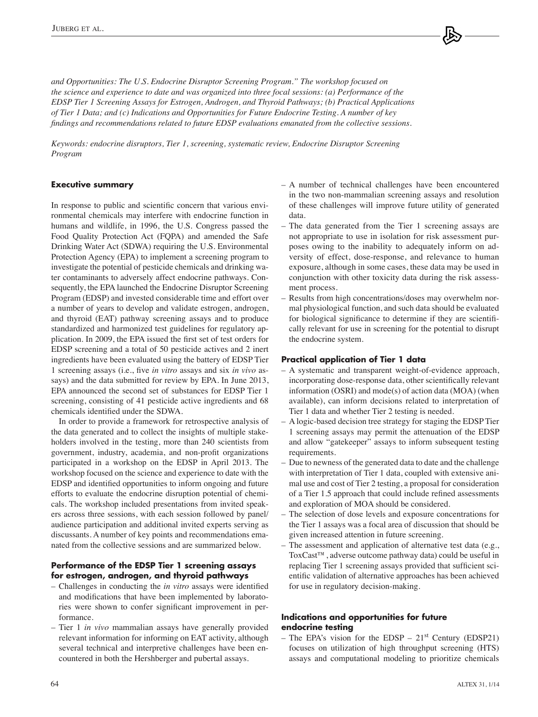*and Opportunities: The U.S. Endocrine Disruptor Screening Program." The workshop focused on the science and experience to date and was organized into three focal sessions: (a) Performance of the EDSP Tier 1 Screening Assays for Estrogen, Androgen, and Thyroid Pathways; (b) Practical Applications of Tier 1 Data; and (c) Indications and Opportunities for Future Endocrine Testing. A number of key findings and recommendations related to future EDSP evaluations emanated from the collective sessions.* 

*Keywords: endocrine disruptors, Tier 1, screening, systematic review, Endocrine Disruptor Screening Program*

## **Executive summary**

In response to public and scientific concern that various environmental chemicals may interfere with endocrine function in humans and wildlife, in 1996, the U.S. Congress passed the Food Quality Protection Act (FQPA) and amended the Safe Drinking Water Act (SDWA) requiring the U.S. Environmental Protection Agency (EPA) to implement a screening program to investigate the potential of pesticide chemicals and drinking water contaminants to adversely affect endocrine pathways. Consequently, the EPA launched the Endocrine Disruptor Screening Program (EDSP) and invested considerable time and effort over a number of years to develop and validate estrogen, androgen, and thyroid (EAT) pathway screening assays and to produce standardized and harmonized test guidelines for regulatory application. In 2009, the EPA issued the first set of test orders for EDSP screening and a total of 50 pesticide actives and 2 inert ingredients have been evaluated using the battery of EDSP Tier 1 screening assays (i.e., five *in vitro* assays and six *in vivo* assays) and the data submitted for review by EPA. In June 2013, EPA announced the second set of substances for EDSP Tier 1 screening, consisting of 41 pesticide active ingredients and 68 chemicals identified under the SDWA.

In order to provide a framework for retrospective analysis of the data generated and to collect the insights of multiple stakeholders involved in the testing, more than 240 scientists from government, industry, academia, and non-profit organizations participated in a workshop on the EDSP in April 2013. The workshop focused on the science and experience to date with the EDSP and identified opportunities to inform ongoing and future efforts to evaluate the endocrine disruption potential of chemicals. The workshop included presentations from invited speakers across three sessions, with each session followed by panel/ audience participation and additional invited experts serving as discussants. A number of key points and recommendations emanated from the collective sessions and are summarized below.

## **Performance of the EDSP Tier 1 screening assays for estrogen, androgen, and thyroid pathways**

- Challenges in conducting the *in vitro* assays were identified and modifications that have been implemented by laboratories were shown to confer significant improvement in performance.
- Tier 1 *in vivo* mammalian assays have generally provided relevant information for informing on EAT activity, although several technical and interpretive challenges have been encountered in both the Hershberger and pubertal assays.
- A number of technical challenges have been encountered in the two non-mammalian screening assays and resolution of these challenges will improve future utility of generated data.
- The data generated from the Tier 1 screening assays are not appropriate to use in isolation for risk assessment purposes owing to the inability to adequately inform on adversity of effect, dose-response, and relevance to human exposure, although in some cases, these data may be used in conjunction with other toxicity data during the risk assessment process.
- Results from high concentrations/doses may overwhelm normal physiological function, and such data should be evaluated for biological significance to determine if they are scientifically relevant for use in screening for the potential to disrupt the endocrine system.

## **Practical application of Tier 1 data**

- A systematic and transparent weight-of-evidence approach, incorporating dose-response data, other scientifically relevant information (OSRI) and mode(s) of action data (MOA) (when available), can inform decisions related to interpretation of Tier 1 data and whether Tier 2 testing is needed.
- A logic-based decision tree strategy for staging the EDSP Tier 1 screening assays may permit the attenuation of the EDSP and allow "gatekeeper" assays to inform subsequent testing requirements.
- Due to newness of the generated data to date and the challenge with interpretation of Tier 1 data, coupled with extensive animal use and cost of Tier 2 testing, a proposal for consideration of a Tier 1.5 approach that could include refined assessments and exploration of MOA should be considered.
- The selection of dose levels and exposure concentrations for the Tier 1 assays was a focal area of discussion that should be given increased attention in future screening.
- The assessment and application of alternative test data (e.g., ToxCast™, adverse outcome pathway data) could be useful in replacing Tier 1 screening assays provided that sufficient scientific validation of alternative approaches has been achieved for use in regulatory decision-making.

## **Indications and opportunities for future endocrine testing**

– The EPA's vision for the EDSP –  $21<sup>st</sup>$  Century (EDSP21) focuses on utilization of high throughput screening (HTS) assays and computational modeling to prioritize chemicals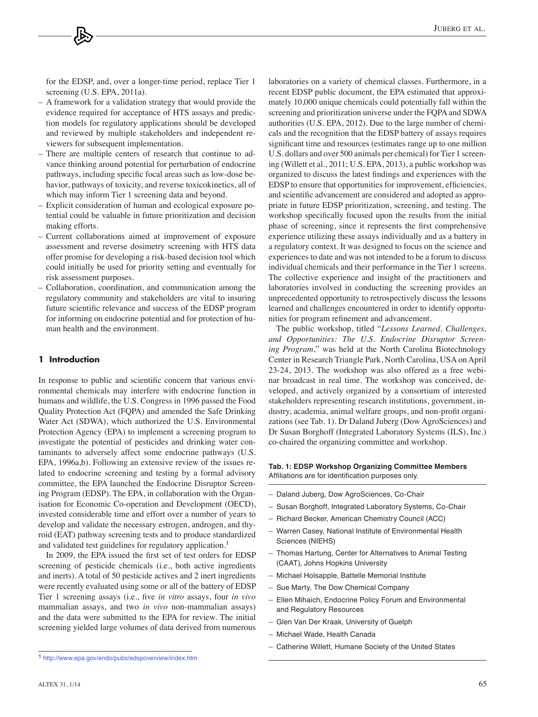for the EDSP, and, over a longer-time period, replace Tier 1 screening (U.S. EPA, 2011a).

- A framework for a validation strategy that would provide the evidence required for acceptance of HTS assays and prediction models for regulatory applications should be developed and reviewed by multiple stakeholders and independent reviewers for subsequent implementation.
- There are multiple centers of research that continue to advance thinking around potential for perturbation of endocrine pathways, including specific focal areas such as low-dose behavior, pathways of toxicity, and reverse toxicokinetics, all of which may inform Tier 1 screening data and beyond.
- Explicit consideration of human and ecological exposure potential could be valuable in future prioritization and decision making efforts.
- Current collaborations aimed at improvement of exposure assessment and reverse dosimetry screening with HTS data offer promise for developing a risk-based decision tool which could initially be used for priority setting and eventually for risk assessment purposes.
- Collaboration, coordination, and communication among the regulatory community and stakeholders are vital to insuring future scientific relevance and success of the EDSP program for informing on endocrine potential and for protection of human health and the environment.

#### **1 Introduction**

In response to public and scientific concern that various environmental chemicals may interfere with endocrine function in humans and wildlife, the U.S. Congress in 1996 passed the Food Quality Protection Act (FQPA) and amended the Safe Drinking Water Act (SDWA), which authorized the U.S. Environmental Protection Agency (EPA) to implement a screening program to investigate the potential of pesticides and drinking water contaminants to adversely affect some endocrine pathways (U.S. EPA, 1996a,b). Following an extensive review of the issues related to endocrine screening and testing by a formal advisory committee, the EPA launched the Endocrine Disruptor Screening Program (EDSP). The EPA, in collaboration with the Organisation for Economic Co-operation and Development (OECD), invested considerable time and effort over a number of years to develop and validate the necessary estrogen, androgen, and thyroid (EAT) pathway screening tests and to produce standardized and validated test guidelines for regulatory application.<sup>1</sup>

In 2009, the EPA issued the first set of test orders for EDSP screening of pesticide chemicals (i.e., both active ingredients and inerts). A total of 50 pesticide actives and 2 inert ingredients were recently evaluated using some or all of the battery of EDSP Tier 1 screening assays (i.e., five *in vitro* assays, four *in vivo* mammalian assays, and two *in vivo* non-mammalian assays) and the data were submitted to the EPA for review. The initial screening yielded large volumes of data derived from numerous

laboratories on a variety of chemical classes. Furthermore, in a recent EDSP public document, the EPA estimated that approximately 10,000 unique chemicals could potentially fall within the screening and prioritization universe under the FQPA and SDWA authorities (U.S. EPA, 2012). Due to the large number of chemicals and the recognition that the EDSP battery of assays requires significant time and resources (estimates range up to one million U.S. dollars and over 500 animals per chemical) for Tier 1 screening (Willett et al., 2011; U.S. EPA, 2013), a public workshop was organized to discuss the latest findings and experiences with the EDSP to ensure that opportunities for improvement, efficiencies, and scientific advancement are considered and adopted as appropriate in future EDSP prioritization, screening, and testing. The workshop specifically focused upon the results from the initial phase of screening, since it represents the first comprehensive experience utilizing these assays individually and as a battery in a regulatory context. It was designed to focus on the science and experiences to date and was not intended to be a forum to discuss individual chemicals and their performance in the Tier 1 screens. The collective experience and insight of the practitioners and laboratories involved in conducting the screening provides an unprecedented opportunity to retrospectively discuss the lessons learned and challenges encountered in order to identify opportunities for program refinement and advancement.

The public workshop, titled "*Lessons Learned, Challenges, and Opportunities: The U.S. Endocrine Disruptor Screening Program*," was held at the North Carolina Biotechnology Center in Research Triangle Park, North Carolina, USA on April 23-24, 2013. The workshop was also offered as a free webinar broadcast in real time. The workshop was conceived, developed, and actively organized by a consortium of interested stakeholders representing research institutions, government, industry, academia, animal welfare groups, and non-profit organizations (see Tab. 1). Dr Daland Juberg (Dow AgroSciences) and Dr Susan Borghoff (Integrated Laboratory Systems (ILS), Inc.) co-chaired the organizing committee and workshop.

#### **Tab. 1: EDSP Workshop Organizing Committee Members** Affiliations are for identification purposes only.

- Daland Juberg, Dow AgroSciences, Co-Chair
- Susan Borghoff, Integrated Laboratory Systems, Co-Chair
- Richard Becker, American Chemistry Council (ACC)
- Warren Casey, National Institute of Environmental Health Sciences (NIEHS)
- Thomas Hartung, Center for Alternatives to Animal Testing (CAAT), Johns Hopkins University
- Michael Holsapple, Battelle Memorial Institute
- Sue Marty, The Dow Chemical Company
- Ellen Mihaich, Endocrine Policy Forum and Environmental and Regulatory Resources
- Glen Van Der Kraak, University of Guelph
- Michael Wade, Health Canada
- Catherine Willett, Humane Society of the United States

<sup>1</sup> <http://www.epa.gov/endo/pubs/edspoverview/index.htm>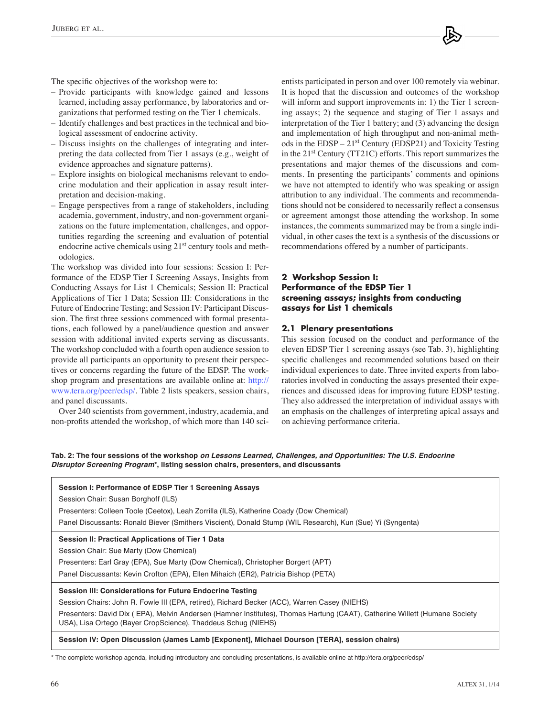The specific objectives of the workshop were to:

- Provide participants with knowledge gained and lessons learned, including assay performance, by laboratories and organizations that performed testing on the Tier 1 chemicals.
- Identify challenges and best practices in the technical and biological assessment of endocrine activity.
- Discuss insights on the challenges of integrating and interpreting the data collected from Tier 1 assays (e.g., weight of evidence approaches and signature patterns).
- Explore insights on biological mechanisms relevant to endocrine modulation and their application in assay result interpretation and decision-making.
- Engage perspectives from a range of stakeholders, including academia, government, industry, and non-government organizations on the future implementation, challenges, and opportunities regarding the screening and evaluation of potential endocrine active chemicals using 21<sup>st</sup> century tools and methodologies.

The workshop was divided into four sessions: Session I: Performance of the EDSP Tier I Screening Assays, Insights from Conducting Assays for List 1 Chemicals; Session II: Practical Applications of Tier 1 Data; Session III: Considerations in the Future of Endocrine Testing; and Session IV: Participant Discussion. The first three sessions commenced with formal presentations, each followed by a panel/audience question and answer session with additional invited experts serving as discussants. The workshop concluded with a fourth open audience session to provide all participants an opportunity to present their perspectives or concerns regarding the future of the EDSP. The workshop program and presentations are available online at: [http://](http://www.tera.org/peer/edsp/) [www.tera.org/peer/edsp/. Ta](http://www.tera.org/peer/edsp/)ble 2 lists speakers, session chairs, and panel discussants.

Over 240 scientists from government, industry, academia, and non-profits attended the workshop, of which more than 140 scientists participated in person and over 100 remotely via webinar. It is hoped that the discussion and outcomes of the workshop will inform and support improvements in: 1) the Tier 1 screening assays; 2) the sequence and staging of Tier 1 assays and interpretation of the Tier 1 battery; and (3) advancing the design and implementation of high throughput and non-animal methods in the EDSP – 21st Century (EDSP21) and Toxicity Testing in the 21st Century (TT21C) efforts. This report summarizes the presentations and major themes of the discussions and comments. In presenting the participants' comments and opinions we have not attempted to identify who was speaking or assign attribution to any individual. The comments and recommendations should not be considered to necessarily reflect a consensus or agreement amongst those attending the workshop. In some instances, the comments summarized may be from a single individual, in other cases the text is a synthesis of the discussions or recommendations offered by a number of participants.

# **2 Workshop Session I: Performance of the EDSP Tier 1 screening assays; insights from conducting assays for List 1 chemicals**

## **2.1 Plenary presentations**

This session focused on the conduct and performance of the eleven EDSP Tier 1 screening assays (see Tab. 3), highlighting specific challenges and recommended solutions based on their individual experiences to date. Three invited experts from laboratories involved in conducting the assays presented their experiences and discussed ideas for improving future EDSP testing. They also addressed the interpretation of individual assays with an emphasis on the challenges of interpreting apical assays and on achieving performance criteria.

**Tab. 2: The four sessions of the workshop** *on Lessons Learned, Challenges, and Opportunities: The U.S. Endocrine Disruptor Screening Program***\*, listing session chairs, presenters, and discussants**

| Session I: Performance of EDSP Tier 1 Screening Assays                                                                                                                                      |  |  |  |  |
|---------------------------------------------------------------------------------------------------------------------------------------------------------------------------------------------|--|--|--|--|
| Session Chair: Susan Borghoff (ILS)                                                                                                                                                         |  |  |  |  |
| Presenters: Colleen Toole (Ceetox), Leah Zorrilla (ILS), Katherine Coady (Dow Chemical)                                                                                                     |  |  |  |  |
| Panel Discussants: Ronald Biever (Smithers Viscient), Donald Stump (WIL Research), Kun (Sue) Yi (Syngenta)                                                                                  |  |  |  |  |
| Session II: Practical Applications of Tier 1 Data                                                                                                                                           |  |  |  |  |
| Session Chair: Sue Marty (Dow Chemical)                                                                                                                                                     |  |  |  |  |
| Presenters: Earl Gray (EPA), Sue Marty (Dow Chemical), Christopher Borgert (APT)                                                                                                            |  |  |  |  |
| Panel Discussants: Kevin Crofton (EPA), Ellen Mihaich (ER2), Patricia Bishop (PETA)                                                                                                         |  |  |  |  |
| Session III: Considerations for Future Endocrine Testing                                                                                                                                    |  |  |  |  |
| Session Chairs: John R. Fowle III (EPA, retired), Richard Becker (ACC), Warren Casey (NIEHS)                                                                                                |  |  |  |  |
| Presenters: David Dix (EPA), Melvin Andersen (Hamner Institutes), Thomas Hartung (CAAT), Catherine Willett (Humane Society<br>USA), Lisa Ortego (Bayer CropScience), Thaddeus Schug (NIEHS) |  |  |  |  |
| Session IV: Open Discussion (James Lamb [Exponent], Michael Dourson [TERA], session chairs)                                                                                                 |  |  |  |  |
| * The complete workshop agenda, including introductory and concluding presentations, is available online at http://tera.org/peer/edsp/                                                      |  |  |  |  |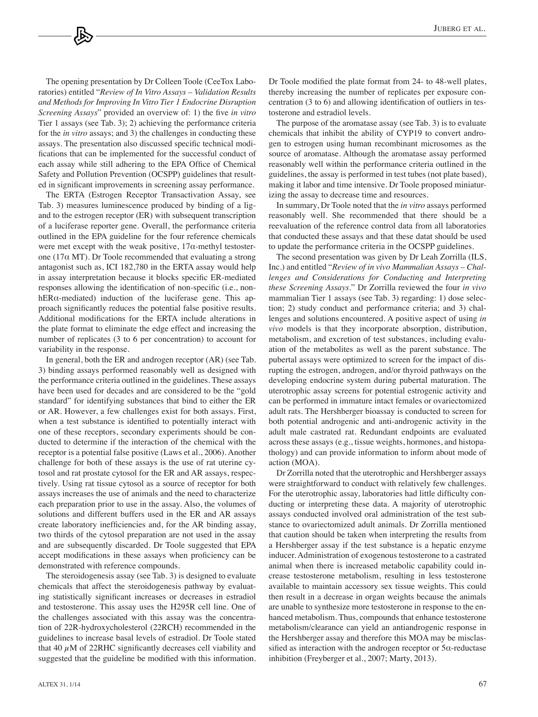The opening presentation by Dr Colleen Toole (CeeTox Laboratories) entitled "*Review of In Vitro Assays – Validation Results and Methods for Improving In Vitro Tier 1 Endocrine Disruption Screening Assays*" provided an overview of: 1) the five *in vitro* Tier 1 assays (see Tab. 3); 2) achieving the performance criteria for the *in vitro* assays; and 3) the challenges in conducting these assays. The presentation also discussed specific technical modifications that can be implemented for the successful conduct of each assay while still adhering to the EPA Office of Chemical Safety and Pollution Prevention (OCSPP) guidelines that resulted in significant improvements in screening assay performance.

The ERTA (Estrogen Receptor Transactivation Assay, see Tab. 3) measures luminescence produced by binding of a ligand to the estrogen receptor (ER) with subsequent transcription of a luciferase reporter gene. Overall, the performance criteria outlined in the EPA guideline for the four reference chemicals were met except with the weak positive,  $17\alpha$ -methyl testosterone (17 $\alpha$  MT). Dr Toole recommended that evaluating a strong antagonist such as, ICI 182,780 in the ERTA assay would help in assay interpretation because it blocks specific ER-mediated responses allowing the identification of non-specific (i.e., nonhER $\alpha$ -mediated) induction of the luciferase gene. This approach significantly reduces the potential false positive results. Additional modifications for the ERTA include alterations in the plate format to eliminate the edge effect and increasing the number of replicates (3 to 6 per concentration) to account for variability in the response.

In general, both the ER and androgen receptor (AR) (see Tab. 3) binding assays performed reasonably well as designed with the performance criteria outlined in the guidelines. These assays have been used for decades and are considered to be the "gold standard" for identifying substances that bind to either the ER or AR. However, a few challenges exist for both assays. First, when a test substance is identified to potentially interact with one of these receptors, secondary experiments should be conducted to determine if the interaction of the chemical with the receptor is a potential false positive (Laws et al., 2006). Another challenge for both of these assays is the use of rat uterine cytosol and rat prostate cytosol for the ER and AR assays, respectively. Using rat tissue cytosol as a source of receptor for both assays increases the use of animals and the need to characterize each preparation prior to use in the assay. Also, the volumes of solutions and different buffers used in the ER and AR assays create laboratory inefficiencies and, for the AR binding assay, two thirds of the cytosol preparation are not used in the assay and are subsequently discarded. Dr Toole suggested that EPA accept modifications in these assays when proficiency can be demonstrated with reference compounds.

The steroidogenesis assay (see Tab. 3) is designed to evaluate chemicals that affect the steroidogenesis pathway by evaluating statistically significant increases or decreases in estradiol and testosterone. This assay uses the H295R cell line. One of the challenges associated with this assay was the concentration of 22R-hydroxycholesterol (22RCH) recommended in the guidelines to increase basal levels of estradiol. Dr Toole stated that 40  $\mu$ M of 22RHC significantly decreases cell viability and suggested that the guideline be modified with this information. Dr Toole modified the plate format from 24- to 48-well plates, thereby increasing the number of replicates per exposure concentration (3 to 6) and allowing identification of outliers in testosterone and estradiol levels.

The purpose of the aromatase assay (see Tab. 3) is to evaluate chemicals that inhibit the ability of CYP19 to convert androgen to estrogen using human recombinant microsomes as the source of aromatase. Although the aromatase assay performed reasonably well within the performance criteria outlined in the guidelines, the assay is performed in test tubes (not plate based), making it labor and time intensive. Dr Toole proposed miniaturizing the assay to decrease time and resources.

In summary, Dr Toole noted that the *in vitro* assays performed reasonably well. She recommended that there should be a reevaluation of the reference control data from all laboratories that conducted these assays and that these datat should be used to update the performance criteria in the OCSPP guidelines.

The second presentation was given by Dr Leah Zorrilla (ILS, Inc.) and entitled "*Review of in vivo Mammalian Assays – Challenges and Considerations for Conducting and Interpreting these Screening Assays*." Dr Zorrilla reviewed the four *in vivo* mammalian Tier 1 assays (see Tab. 3) regarding: 1) dose selection; 2) study conduct and performance criteria; and 3) challenges and solutions encountered. A positive aspect of using *in vivo* models is that they incorporate absorption, distribution, metabolism, and excretion of test substances, including evaluation of the metabolites as well as the parent substance. The pubertal assays were optimized to screen for the impact of disrupting the estrogen, androgen, and/or thyroid pathways on the developing endocrine system during pubertal maturation. The uterotrophic assay screens for potential estrogenic activity and can be performed in immature intact females or ovariectomized adult rats. The Hershberger bioassay is conducted to screen for both potential androgenic and anti-androgenic activity in the adult male castrated rat. Redundant endpoints are evaluated across these assays (e.g., tissue weights, hormones, and histopathology) and can provide information to inform about mode of action (MOA).

Dr Zorrilla noted that the uterotrophic and Hershberger assays were straightforward to conduct with relatively few challenges. For the uterotrophic assay, laboratories had little difficulty conducting or interpreting these data. A majority of uterotrophic assays conducted involved oral administration of the test substance to ovariectomized adult animals. Dr Zorrilla mentioned that caution should be taken when interpreting the results from a Hershberger assay if the test substance is a hepatic enzyme inducer. Administration of exogenous testosterone to a castrated animal when there is increased metabolic capability could increase testosterone metabolism, resulting in less testosterone available to maintain accessory sex tissue weights. This could then result in a decrease in organ weights because the animals are unable to synthesize more testosterone in response to the enhanced metabolism. Thus, compounds that enhance testosterone metabolism/clearance can yield an antiandrogenic response in the Hershberger assay and therefore this MOA may be misclassified as interaction with the androgen receptor or  $5\alpha$ -reductase inhibition (Freyberger et al., 2007; Marty, 2013).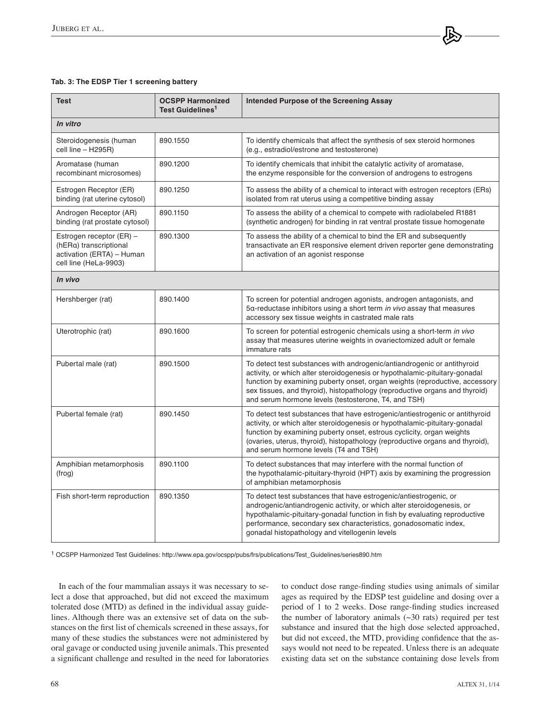## **Tab. 3: The EDSP Tier 1 screening battery**

| <b>Test</b>                                                                                              | <b>OCSPP Harmonized</b><br>Test Guidelines <sup>1</sup> | Intended Purpose of the Screening Assay                                                                                                                                                                                                                                                                                                                                     |  |  |  |  |
|----------------------------------------------------------------------------------------------------------|---------------------------------------------------------|-----------------------------------------------------------------------------------------------------------------------------------------------------------------------------------------------------------------------------------------------------------------------------------------------------------------------------------------------------------------------------|--|--|--|--|
| In vitro                                                                                                 |                                                         |                                                                                                                                                                                                                                                                                                                                                                             |  |  |  |  |
| Steroidogenesis (human<br>cell line - H295R)                                                             | 890.1550                                                | To identify chemicals that affect the synthesis of sex steroid hormones<br>(e.g., estradiol/estrone and testosterone)                                                                                                                                                                                                                                                       |  |  |  |  |
| Aromatase (human<br>recombinant microsomes)                                                              | 890.1200                                                | To identify chemicals that inhibit the catalytic activity of aromatase,<br>the enzyme responsible for the conversion of androgens to estrogens                                                                                                                                                                                                                              |  |  |  |  |
| Estrogen Receptor (ER)<br>binding (rat uterine cytosol)                                                  | 890.1250                                                | To assess the ability of a chemical to interact with estrogen receptors (ERs)<br>isolated from rat uterus using a competitive binding assay                                                                                                                                                                                                                                 |  |  |  |  |
| Androgen Receptor (AR)<br>binding (rat prostate cytosol)                                                 | 890.1150                                                | To assess the ability of a chemical to compete with radiolabeled R1881<br>(synthetic androgen) for binding in rat ventral prostate tissue homogenate                                                                                                                                                                                                                        |  |  |  |  |
| Estrogen receptor (ER) -<br>(hERa) transcriptional<br>activation (ERTA) – Human<br>cell line (HeLa-9903) | 890.1300                                                | To assess the ability of a chemical to bind the ER and subsequently<br>transactivate an ER responsive element driven reporter gene demonstrating<br>an activation of an agonist response                                                                                                                                                                                    |  |  |  |  |
| In vivo                                                                                                  |                                                         |                                                                                                                                                                                                                                                                                                                                                                             |  |  |  |  |
| Hershberger (rat)                                                                                        | 890.1400                                                | To screen for potential androgen agonists, androgen antagonists, and<br>5a-reductase inhibitors using a short term in vivo assay that measures<br>accessory sex tissue weights in castrated male rats                                                                                                                                                                       |  |  |  |  |
| Uterotrophic (rat)                                                                                       | 890.1600                                                | To screen for potential estrogenic chemicals using a short-term in vivo<br>assay that measures uterine weights in ovariectomized adult or female<br>immature rats                                                                                                                                                                                                           |  |  |  |  |
| Pubertal male (rat)                                                                                      | 890.1500                                                | To detect test substances with androgenic/antiandrogenic or antithyroid<br>activity, or which alter steroidogenesis or hypothalamic-pituitary-gonadal<br>function by examining puberty onset, organ weights (reproductive, accessory<br>sex tissues, and thyroid), histopathology (reproductive organs and thyroid)<br>and serum hormone levels (testosterone, T4, and TSH) |  |  |  |  |
| Pubertal female (rat)                                                                                    | 890.1450                                                | To detect test substances that have estrogenic/antiestrogenic or antithyroid<br>activity, or which alter steroidogenesis or hypothalamic-pituitary-gonadal<br>function by examining puberty onset, estrous cyclicity, organ weights<br>(ovaries, uterus, thyroid), histopathology (reproductive organs and thyroid),<br>and serum hormone levels (T4 and TSH)               |  |  |  |  |
| Amphibian metamorphosis<br>(frog)                                                                        | 890.1100                                                | To detect substances that may interfere with the normal function of<br>the hypothalamic-pituitary-thyroid (HPT) axis by examining the progression<br>of amphibian metamorphosis                                                                                                                                                                                             |  |  |  |  |
| Fish short-term reproduction                                                                             | 890.1350                                                | To detect test substances that have estrogenic/antiestrogenic, or<br>androgenic/antiandrogenic activity, or which alter steroidogenesis, or<br>hypothalamic-pituitary-gonadal function in fish by evaluating reproductive<br>performance, secondary sex characteristics, gonadosomatic index,<br>gonadal histopathology and vitellogenin levels                             |  |  |  |  |

1 OCSPP Harmonized Test Guidelines: http://www.epa.gov/ocspp/pubs/frs/publications/Test\_Guidelines/series890.htm

In each of the four mammalian assays it was necessary to select a dose that approached, but did not exceed the maximum tolerated dose (MTD) as defined in the individual assay guidelines. Although there was an extensive set of data on the substances on the first list of chemicals screened in these assays, for many of these studies the substances were not administered by oral gavage or conducted using juvenile animals. This presented a significant challenge and resulted in the need for laboratories to conduct dose range-finding studies using animals of similar ages as required by the EDSP test guideline and dosing over a period of 1 to 2 weeks. Dose range-finding studies increased the number of laboratory animals  $(\sim]30$  rats) required per test substance and insured that the high dose selected approached, but did not exceed, the MTD, providing confidence that the assays would not need to be repeated. Unless there is an adequate existing data set on the substance containing dose levels from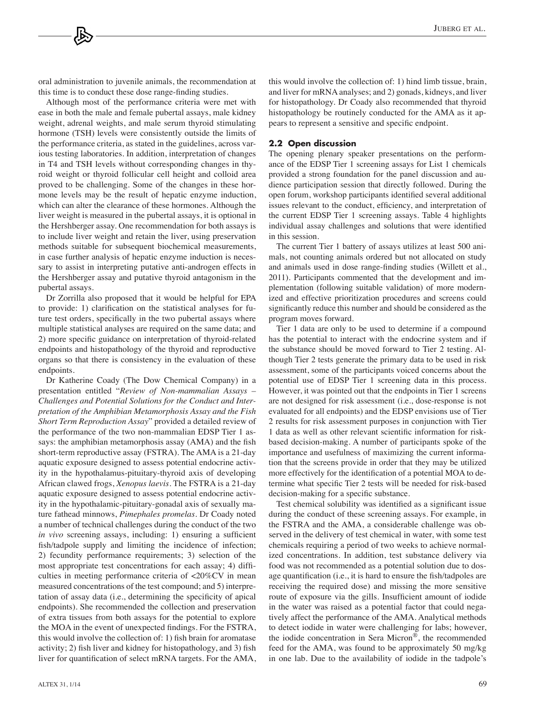oral administration to juvenile animals, the recommendation at this time is to conduct these dose range-finding studies.

Although most of the performance criteria were met with ease in both the male and female pubertal assays, male kidney weight, adrenal weights, and male serum thyroid stimulating hormone (TSH) levels were consistently outside the limits of the performance criteria, as stated in the guidelines, across various testing laboratories. In addition, interpretation of changes in T4 and TSH levels without corresponding changes in thyroid weight or thyroid follicular cell height and colloid area proved to be challenging. Some of the changes in these hormone levels may be the result of hepatic enzyme induction, which can alter the clearance of these hormones. Although the liver weight is measured in the pubertal assays, it is optional in the Hershberger assay. One recommendation for both assays is to include liver weight and retain the liver, using preservation methods suitable for subsequent biochemical measurements, in case further analysis of hepatic enzyme induction is necessary to assist in interpreting putative anti-androgen effects in the Hershberger assay and putative thyroid antagonism in the pubertal assays.

Dr Zorrilla also proposed that it would be helpful for EPA to provide: 1) clarification on the statistical analyses for future test orders, specifically in the two pubertal assays where multiple statistical analyses are required on the same data; and 2) more specific guidance on interpretation of thyroid-related endpoints and histopathology of the thyroid and reproductive organs so that there is consistency in the evaluation of these endpoints.

Dr Katherine Coady (The Dow Chemical Company) in a presentation entitled "*Review of Non-mammalian Assays – Challenges and Potential Solutions for the Conduct and Interpretation of the Amphibian Metamorphosis Assay and the Fish Short Term Reproduction Assay*" provided a detailed review of the performance of the two non-mammalian EDSP Tier 1 assays: the amphibian metamorphosis assay (AMA) and the fish short-term reproductive assay (FSTRA). The AMA is a 21-day aquatic exposure designed to assess potential endocrine activity in the hypothalamus-pituitary-thyroid axis of developing African clawed frogs, *Xenopus laevis*. The FSTRA is a 21-day aquatic exposure designed to assess potential endocrine activity in the hypothalamic-pituitary-gonadal axis of sexually mature fathead minnows, *Pimephales promelas*. Dr Coady noted a number of technical challenges during the conduct of the two *in vivo* screening assays, including: 1) ensuring a sufficient fish/tadpole supply and limiting the incidence of infection; 2) fecundity performance requirements; 3) selection of the most appropriate test concentrations for each assay; 4) difficulties in meeting performance criteria of <20%CV in mean measured concentrations of the test compound; and 5) interpretation of assay data (i.e., determining the specificity of apical endpoints). She recommended the collection and preservation of extra tissues from both assays for the potential to explore the MOA in the event of unexpected findings. For the FSTRA, this would involve the collection of: 1) fish brain for aromatase activity; 2) fish liver and kidney for histopathology, and 3) fish liver for quantification of select mRNA targets. For the AMA, this would involve the collection of: 1) hind limb tissue, brain, and liver for mRNA analyses; and 2) gonads, kidneys, and liver for histopathology. Dr Coady also recommended that thyroid histopathology be routinely conducted for the AMA as it appears to represent a sensitive and specific endpoint.

#### **2.2 Open discussion**

The opening plenary speaker presentations on the performance of the EDSP Tier 1 screening assays for List 1 chemicals provided a strong foundation for the panel discussion and audience participation session that directly followed. During the open forum, workshop participants identified several additional issues relevant to the conduct, efficiency, and interpretation of the current EDSP Tier 1 screening assays. Table 4 highlights individual assay challenges and solutions that were identified in this session.

The current Tier 1 battery of assays utilizes at least 500 animals, not counting animals ordered but not allocated on study and animals used in dose range-finding studies (Willett et al., 2011). Participants commented that the development and implementation (following suitable validation) of more modernized and effective prioritization procedures and screens could significantly reduce this number and should be considered as the program moves forward.

Tier 1 data are only to be used to determine if a compound has the potential to interact with the endocrine system and if the substance should be moved forward to Tier 2 testing. Although Tier 2 tests generate the primary data to be used in risk assessment, some of the participants voiced concerns about the potential use of EDSP Tier 1 screening data in this process. However, it was pointed out that the endpoints in Tier 1 screens are not designed for risk assessment (i.e., dose-response is not evaluated for all endpoints) and the EDSP envisions use of Tier 2 results for risk assessment purposes in conjunction with Tier 1 data as well as other relevant scientific information for riskbased decision-making. A number of participants spoke of the importance and usefulness of maximizing the current information that the screens provide in order that they may be utilized more effectively for the identification of a potential MOA to determine what specific Tier 2 tests will be needed for risk-based decision-making for a specific substance.

Test chemical solubility was identified as a significant issue during the conduct of these screening assays. For example, in the FSTRA and the AMA, a considerable challenge was observed in the delivery of test chemical in water, with some test chemicals requiring a period of two weeks to achieve normalized concentrations. In addition, test substance delivery via food was not recommended as a potential solution due to dosage quantification (i.e., it is hard to ensure the fish/tadpoles are receiving the required dose) and missing the more sensitive route of exposure via the gills. Insufficient amount of iodide in the water was raised as a potential factor that could negatively affect the performance of the AMA. Analytical methods to detect iodide in water were challenging for labs; however, the iodide concentration in Sera Micron®, the recommended feed for the AMA, was found to be approximately 50 mg/kg in one lab. Due to the availability of iodide in the tadpole's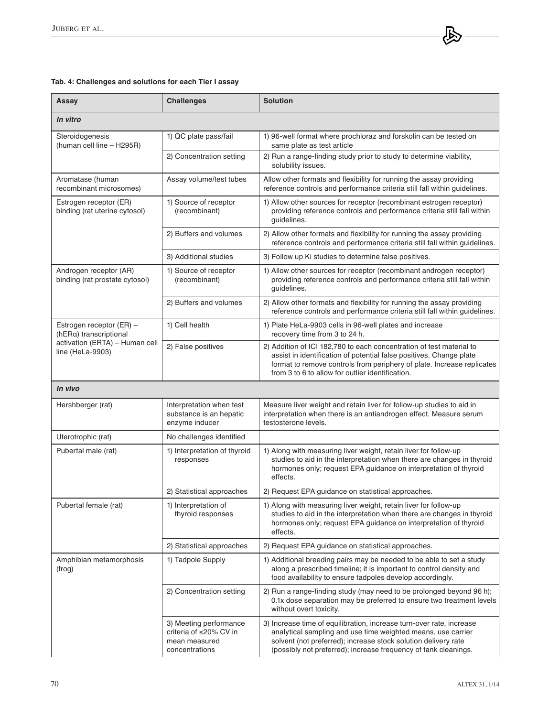# **Tab. 4: Challenges and solutions for each Tier I assay**

| Assay                                                                                                    | <b>Challenges</b>                                                                   | <b>Solution</b>                                                                                                                                                                                                                                                           |  |  |  |
|----------------------------------------------------------------------------------------------------------|-------------------------------------------------------------------------------------|---------------------------------------------------------------------------------------------------------------------------------------------------------------------------------------------------------------------------------------------------------------------------|--|--|--|
| In vitro                                                                                                 |                                                                                     |                                                                                                                                                                                                                                                                           |  |  |  |
| Steroidogenesis<br>(human cell line - H295R)                                                             | 1) QC plate pass/fail                                                               | 1) 96-well format where prochloraz and forskolin can be tested on<br>same plate as test article                                                                                                                                                                           |  |  |  |
|                                                                                                          | 2) Concentration setting                                                            | 2) Run a range-finding study prior to study to determine viability,<br>solubility issues.                                                                                                                                                                                 |  |  |  |
| Aromatase (human<br>recombinant microsomes)                                                              | Assay volume/test tubes                                                             | Allow other formats and flexibility for running the assay providing<br>reference controls and performance criteria still fall within guidelines.                                                                                                                          |  |  |  |
| Estrogen receptor (ER)<br>binding (rat uterine cytosol)                                                  | 1) Source of receptor<br>(recombinant)                                              | 1) Allow other sources for receptor (recombinant estrogen receptor)<br>providing reference controls and performance criteria still fall within<br>guidelines.                                                                                                             |  |  |  |
|                                                                                                          | 2) Buffers and volumes                                                              | 2) Allow other formats and flexibility for running the assay providing<br>reference controls and performance criteria still fall within guidelines.                                                                                                                       |  |  |  |
|                                                                                                          | 3) Additional studies                                                               | 3) Follow up Ki studies to determine false positives.                                                                                                                                                                                                                     |  |  |  |
| Androgen receptor (AR)<br>binding (rat prostate cytosol)                                                 | 1) Source of receptor<br>(recombinant)                                              | 1) Allow other sources for receptor (recombinant androgen receptor)<br>providing reference controls and performance criteria still fall within<br>guidelines.                                                                                                             |  |  |  |
|                                                                                                          | 2) Buffers and volumes                                                              | 2) Allow other formats and flexibility for running the assay providing<br>reference controls and performance criteria still fall within guidelines.                                                                                                                       |  |  |  |
| Estrogen receptor (ER) -<br>(hERa) transcriptional<br>activation (ERTA) - Human cell<br>line (HeLa-9903) | 1) Cell health                                                                      | 1) Plate HeLa-9903 cells in 96-well plates and increase<br>recovery time from 3 to 24 h.                                                                                                                                                                                  |  |  |  |
|                                                                                                          | 2) False positives                                                                  | 2) Addition of ICI 182,780 to each concentration of test material to<br>assist in identification of potential false positives. Change plate<br>format to remove controls from periphery of plate. Increase replicates<br>from 3 to 6 to allow for outlier identification. |  |  |  |
| In vivo                                                                                                  |                                                                                     |                                                                                                                                                                                                                                                                           |  |  |  |
| Hershberger (rat)                                                                                        | Interpretation when test<br>substance is an hepatic<br>enzyme inducer               | Measure liver weight and retain liver for follow-up studies to aid in<br>interpretation when there is an antiandrogen effect. Measure serum<br>testosterone levels.                                                                                                       |  |  |  |
| Uterotrophic (rat)                                                                                       | No challenges identified                                                            |                                                                                                                                                                                                                                                                           |  |  |  |
| Pubertal male (rat)                                                                                      | 1) Interpretation of thyroid<br>responses                                           | 1) Along with measuring liver weight, retain liver for follow-up<br>studies to aid in the interpretation when there are changes in thyroid<br>hormones only; request EPA guidance on interpretation of thyroid<br>effects.                                                |  |  |  |
|                                                                                                          | 2) Statistical approaches                                                           | 2) Request EPA guidance on statistical approaches.                                                                                                                                                                                                                        |  |  |  |
| Pubertal female (rat)                                                                                    | 1) Interpretation of<br>thyroid responses                                           | 1) Along with measuring liver weight, retain liver for follow-up<br>studies to aid in the interpretation when there are changes in thyroid<br>hormones only; request EPA guidance on interpretation of thyroid<br>effects.                                                |  |  |  |
|                                                                                                          | 2) Statistical approaches                                                           | 2) Request EPA guidance on statistical approaches.                                                                                                                                                                                                                        |  |  |  |
| Amphibian metamorphosis<br>(frog)                                                                        | 1) Tadpole Supply                                                                   | 1) Additional breeding pairs may be needed to be able to set a study<br>along a prescribed timeline; it is important to control density and<br>food availability to ensure tadpoles develop accordingly.                                                                  |  |  |  |
|                                                                                                          | 2) Concentration setting                                                            | 2) Run a range-finding study (may need to be prolonged beyond 96 h);<br>0.1x dose separation may be preferred to ensure two treatment levels<br>without overt toxicity.                                                                                                   |  |  |  |
|                                                                                                          | 3) Meeting performance<br>criteria of ≤20% CV in<br>mean measured<br>concentrations | 3) Increase time of equilibration, increase turn-over rate, increase<br>analytical sampling and use time weighted means, use carrier<br>solvent (not preferred); increase stock solution delivery rate<br>(possibly not preferred); increase frequency of tank cleanings. |  |  |  |

一人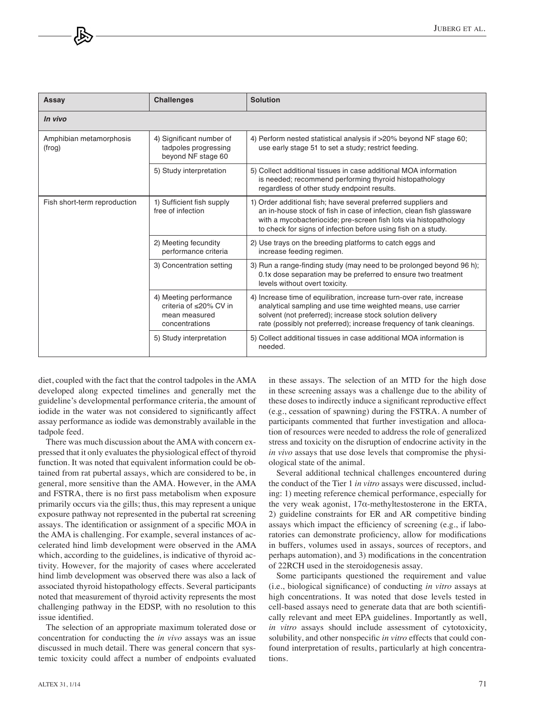| Assay                             | <b>Challenges</b>                                                                   | Solution                                                                                                                                                                                                                                                                    |  |  |  |
|-----------------------------------|-------------------------------------------------------------------------------------|-----------------------------------------------------------------------------------------------------------------------------------------------------------------------------------------------------------------------------------------------------------------------------|--|--|--|
| In vivo                           |                                                                                     |                                                                                                                                                                                                                                                                             |  |  |  |
| Amphibian metamorphosis<br>(frog) | 4) Significant number of<br>tadpoles progressing<br>beyond NF stage 60              | 4) Perform nested statistical analysis if >20% beyond NF stage 60;<br>use early stage 51 to set a study; restrict feeding.                                                                                                                                                  |  |  |  |
|                                   | 5) Study interpretation                                                             | 5) Collect additional tissues in case additional MOA information<br>is needed; recommend performing thyroid histopathology<br>regardless of other study endpoint results.                                                                                                   |  |  |  |
| Fish short-term reproduction      | 1) Sufficient fish supply<br>free of infection                                      | 1) Order additional fish; have several preferred suppliers and<br>an in-house stock of fish in case of infection, clean fish glassware<br>with a mycobacteriocide; pre-screen fish lots via histopathology<br>to check for signs of infection before using fish on a study. |  |  |  |
|                                   | 2) Meeting fecundity<br>performance criteria                                        | 2) Use trays on the breeding platforms to catch eggs and<br>increase feeding regimen.                                                                                                                                                                                       |  |  |  |
|                                   | 3) Concentration setting                                                            | 3) Run a range-finding study (may need to be prolonged beyond 96 h);<br>0.1x dose separation may be preferred to ensure two treatment<br>levels without overt toxicity.                                                                                                     |  |  |  |
|                                   | 4) Meeting performance<br>criteria of ≤20% CV in<br>mean measured<br>concentrations | 4) Increase time of equilibration, increase turn-over rate, increase<br>analytical sampling and use time weighted means, use carrier<br>solvent (not preferred); increase stock solution delivery<br>rate (possibly not preferred); increase frequency of tank cleanings.   |  |  |  |
|                                   | 5) Study interpretation                                                             | 5) Collect additional tissues in case additional MOA information is<br>needed.                                                                                                                                                                                              |  |  |  |

diet, coupled with the fact that the control tadpoles in the AMA developed along expected timelines and generally met the guideline's developmental performance criteria, the amount of iodide in the water was not considered to significantly affect assay performance as iodide was demonstrably available in the tadpole feed.

There was much discussion about the AMA with concern expressed that it only evaluates the physiological effect of thyroid function. It was noted that equivalent information could be obtained from rat pubertal assays, which are considered to be, in general, more sensitive than the AMA. However, in the AMA and FSTRA, there is no first pass metabolism when exposure primarily occurs via the gills; thus, this may represent a unique exposure pathway not represented in the pubertal rat screening assays. The identification or assignment of a specific MOA in the AMA is challenging. For example, several instances of accelerated hind limb development were observed in the AMA which, according to the guidelines, is indicative of thyroid activity. However, for the majority of cases where accelerated hind limb development was observed there was also a lack of associated thyroid histopathology effects. Several participants noted that measurement of thyroid activity represents the most challenging pathway in the EDSP, with no resolution to this issue identified.

The selection of an appropriate maximum tolerated dose or concentration for conducting the *in vivo* assays was an issue discussed in much detail. There was general concern that systemic toxicity could affect a number of endpoints evaluated in these assays. The selection of an MTD for the high dose in these screening assays was a challenge due to the ability of these doses to indirectly induce a significant reproductive effect (e.g., cessation of spawning) during the FSTRA. A number of participants commented that further investigation and allocation of resources were needed to address the role of generalized stress and toxicity on the disruption of endocrine activity in the *in vivo* assays that use dose levels that compromise the physiological state of the animal.

Several additional technical challenges encountered during the conduct of the Tier 1 *in vitro* assays were discussed, including: 1) meeting reference chemical performance, especially for the very weak agonist,  $17\alpha$ -methyltestosterone in the ERTA, 2) guideline constraints for ER and AR competitive binding assays which impact the efficiency of screening (e.g., if laboratories can demonstrate proficiency, allow for modifications in buffers, volumes used in assays, sources of receptors, and perhaps automation), and 3) modifications in the concentration of 22RCH used in the steroidogenesis assay.

Some participants questioned the requirement and value (i.e., biological significance) of conducting *in vitro* assays at high concentrations. It was noted that dose levels tested in cell-based assays need to generate data that are both scientifically relevant and meet EPA guidelines. Importantly as well, *in vitro* assays should include assessment of cytotoxicity, solubility, and other nonspecific *in vitro* effects that could confound interpretation of results, particularly at high concentrations.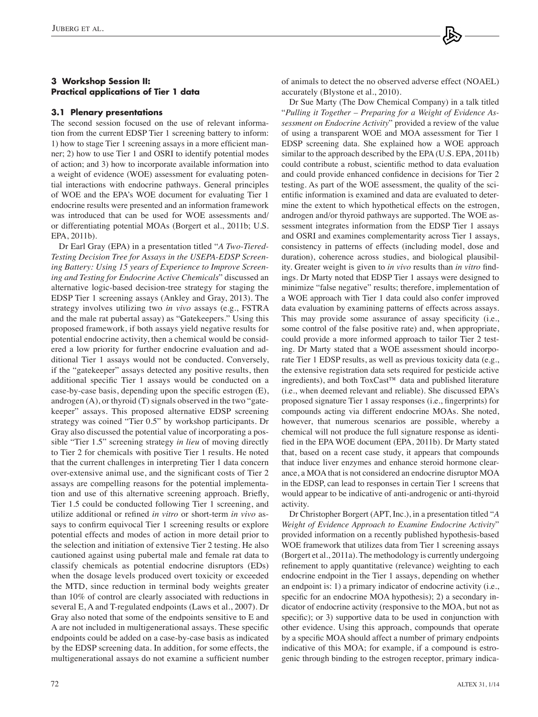# **3 Workshop Session II: Practical applications of Tier 1 data**

#### **3.1 Plenary presentations**

The second session focused on the use of relevant information from the current EDSP Tier 1 screening battery to inform: 1) how to stage Tier 1 screening assays in a more efficient manner; 2) how to use Tier 1 and OSRI to identify potential modes of action; and 3) how to incorporate available information into a weight of evidence (WOE) assessment for evaluating potential interactions with endocrine pathways. General principles of WOE and the EPA's WOE document for evaluating Tier 1 endocrine results were presented and an information framework was introduced that can be used for WOE assessments and/ or differentiating potential MOAs (Borgert et al., 2011b; U.S. EPA, 2011b).

Dr Earl Gray (EPA) in a presentation titled "*A Two-Tiered-Testing Decision Tree for Assays in the USEPA-EDSP Screening Battery: Using 15 years of Experience to Improve Screening and Testing for Endocrine Active Chemicals*" discussed an alternative logic-based decision-tree strategy for staging the EDSP Tier 1 screening assays (Ankley and Gray, 2013). The strategy involves utilizing two *in vivo* assays (e.g., FSTRA and the male rat pubertal assay) as "Gatekeepers." Using this proposed framework, if both assays yield negative results for potential endocrine activity, then a chemical would be considered a low priority for further endocrine evaluation and additional Tier 1 assays would not be conducted. Conversely, if the "gatekeeper" assays detected any positive results, then additional specific Tier 1 assays would be conducted on a case-by-case basis, depending upon the specific estrogen (E), androgen (A), or thyroid (T) signals observed in the two "gatekeeper" assays. This proposed alternative EDSP screening strategy was coined "Tier 0.5" by workshop participants. Dr Gray also discussed the potential value of incorporating a possible "Tier 1.5" screening strategy *in lieu* of moving directly to Tier 2 for chemicals with positive Tier 1 results. He noted that the current challenges in interpreting Tier 1 data concern over-extensive animal use, and the significant costs of Tier 2 assays are compelling reasons for the potential implementation and use of this alternative screening approach. Briefly, Tier 1.5 could be conducted following Tier 1 screening, and utilize additional or refined *in vitro* or short-term *in vivo* assays to confirm equivocal Tier 1 screening results or explore potential effects and modes of action in more detail prior to the selection and initiation of extensive Tier 2 testing. He also cautioned against using pubertal male and female rat data to classify chemicals as potential endocrine disruptors (EDs) when the dosage levels produced overt toxicity or exceeded the MTD, since reduction in terminal body weights greater than 10% of control are clearly associated with reductions in several E, A and T-regulated endpoints (Laws et al., 2007). Dr Gray also noted that some of the endpoints sensitive to E and A are not included in multigenerational assays. These specific endpoints could be added on a case-by-case basis as indicated by the EDSP screening data. In addition, for some effects, the multigenerational assays do not examine a sufficient number of animals to detect the no observed adverse effect (NOAEL) accurately (Blystone et al., 2010).

Dr Sue Marty (The Dow Chemical Company) in a talk titled "*Pulling it Together – Preparing for a Weight of Evidence Assessment on Endocrine Activity*" provided a review of the value of using a transparent WOE and MOA assessment for Tier 1 EDSP screening data. She explained how a WOE approach similar to the approach described by the EPA (U.S. EPA, 2011b) could contribute a robust, scientific method to data evaluation and could provide enhanced confidence in decisions for Tier 2 testing. As part of the WOE assessment, the quality of the scientific information is examined and data are evaluated to determine the extent to which hypothetical effects on the estrogen, androgen and/or thyroid pathways are supported. The WOE assessment integrates information from the EDSP Tier 1 assays and OSRI and examines complementarity across Tier 1 assays, consistency in patterns of effects (including model, dose and duration), coherence across studies, and biological plausibility. Greater weight is given to *in vivo* results than *in vitro* findings. Dr Marty noted that EDSP Tier 1 assays were designed to minimize "false negative" results; therefore, implementation of a WOE approach with Tier 1 data could also confer improved data evaluation by examining patterns of effects across assays. This may provide some assurance of assay specificity (i.e., some control of the false positive rate) and, when appropriate, could provide a more informed approach to tailor Tier 2 testing. Dr Marty stated that a WOE assessment should incorporate Tier 1 EDSP results, as well as previous toxicity data (e.g., the extensive registration data sets required for pesticide active ingredients), and both ToxCast™ data and published literature (i.e., when deemed relevant and reliable). She discussed EPA's proposed signature Tier 1 assay responses (i.e., fingerprints) for compounds acting via different endocrine MOAs. She noted, however, that numerous scenarios are possible, whereby a chemical will not produce the full signature response as identified in the EPA WOE document (EPA, 2011b). Dr Marty stated that, based on a recent case study, it appears that compounds that induce liver enzymes and enhance steroid hormone clearance, a MOA that is not considered an endocrine disruptor MOA in the EDSP, can lead to responses in certain Tier 1 screens that would appear to be indicative of anti-androgenic or anti-thyroid activity.

Dr Christopher Borgert (APT, Inc.), in a presentation titled "*A Weight of Evidence Approach to Examine Endocrine Activity*" provided information on a recently published hypothesis-based WOE framework that utilizes data from Tier 1 screening assays (Borgert et al., 2011a). The methodology is currently undergoing refinement to apply quantitative (relevance) weighting to each endocrine endpoint in the Tier 1 assays, depending on whether an endpoint is: 1) a primary indicator of endocrine activity (i.e., specific for an endocrine MOA hypothesis); 2) a secondary indicator of endocrine activity (responsive to the MOA, but not as specific); or 3) supportive data to be used in conjunction with other evidence. Using this approach, compounds that operate by a specific MOA should affect a number of primary endpoints indicative of this MOA; for example, if a compound is estrogenic through binding to the estrogen receptor, primary indica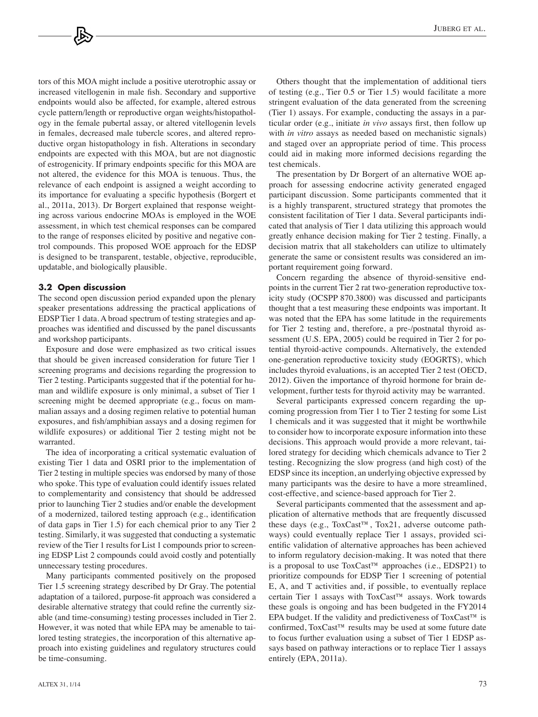tors of this MOA might include a positive uterotrophic assay or increased vitellogenin in male fish. Secondary and supportive endpoints would also be affected, for example, altered estrous cycle pattern/length or reproductive organ weights/histopathology in the female pubertal assay, or altered vitellogenin levels in females, decreased male tubercle scores, and altered reproductive organ histopathology in fish. Alterations in secondary endpoints are expected with this MOA, but are not diagnostic of estrogenicity. If primary endpoints specific for this MOA are not altered, the evidence for this MOA is tenuous. Thus, the relevance of each endpoint is assigned a weight according to its importance for evaluating a specific hypothesis (Borgert et al., 2011a, 2013). Dr Borgert explained that response weighting across various endocrine MOAs is employed in the WOE assessment, in which test chemical responses can be compared to the range of responses elicited by positive and negative control compounds. This proposed WOE approach for the EDSP is designed to be transparent, testable, objective, reproducible, updatable, and biologically plausible.

#### **3.2 Open discussion**

The second open discussion period expanded upon the plenary speaker presentations addressing the practical applications of EDSP Tier 1 data. A broad spectrum of testing strategies and approaches was identified and discussed by the panel discussants and workshop participants.

Exposure and dose were emphasized as two critical issues that should be given increased consideration for future Tier 1 screening programs and decisions regarding the progression to Tier 2 testing. Participants suggested that if the potential for human and wildlife exposure is only minimal, a subset of Tier 1 screening might be deemed appropriate (e.g., focus on mammalian assays and a dosing regimen relative to potential human exposures, and fish/amphibian assays and a dosing regimen for wildlife exposures) or additional Tier 2 testing might not be warranted.

The idea of incorporating a critical systematic evaluation of existing Tier 1 data and OSRI prior to the implementation of Tier 2 testing in multiple species was endorsed by many of those who spoke. This type of evaluation could identify issues related to complementarity and consistency that should be addressed prior to launching Tier 2 studies and/or enable the development of a modernized, tailored testing approach (e.g., identification of data gaps in Tier 1.5) for each chemical prior to any Tier 2 testing. Similarly, it was suggested that conducting a systematic review of the Tier 1 results for List 1 compounds prior to screening EDSP List 2 compounds could avoid costly and potentially unnecessary testing procedures.

Many participants commented positively on the proposed Tier 1.5 screening strategy described by Dr Gray. The potential adaptation of a tailored, purpose-fit approach was considered a desirable alternative strategy that could refine the currently sizable (and time-consuming) testing processes included in Tier 2. However, it was noted that while EPA may be amenable to tailored testing strategies, the incorporation of this alternative approach into existing guidelines and regulatory structures could be time-consuming.

Others thought that the implementation of additional tiers of testing (e.g., Tier 0.5 or Tier 1.5) would facilitate a more stringent evaluation of the data generated from the screening (Tier 1) assays. For example, conducting the assays in a particular order (e.g., initiate *in vivo* assays first, then follow up with *in vitro* assays as needed based on mechanistic signals) and staged over an appropriate period of time. This process could aid in making more informed decisions regarding the test chemicals.

The presentation by Dr Borgert of an alternative WOE approach for assessing endocrine activity generated engaged participant discussion. Some participants commented that it is a highly transparent, structured strategy that promotes the consistent facilitation of Tier 1 data. Several participants indicated that analysis of Tier 1 data utilizing this approach would greatly enhance decision making for Tier 2 testing. Finally, a decision matrix that all stakeholders can utilize to ultimately generate the same or consistent results was considered an important requirement going forward.

Concern regarding the absence of thyroid-sensitive endpoints in the current Tier 2 rat two-generation reproductive toxicity study (OCSPP 870.3800) was discussed and participants thought that a test measuring these endpoints was important. It was noted that the EPA has some latitude in the requirements for Tier 2 testing and, therefore, a pre-/postnatal thyroid assessment (U.S. EPA, 2005) could be required in Tier 2 for potential thyroid-active compounds. Alternatively, the extended one-generation reproductive toxicity study (EOGRTS), which includes thyroid evaluations, is an accepted Tier 2 test (OECD, 2012). Given the importance of thyroid hormone for brain development, further tests for thyroid activity may be warranted.

Several participants expressed concern regarding the upcoming progression from Tier 1 to Tier 2 testing for some List 1 chemicals and it was suggested that it might be worthwhile to consider how to incorporate exposure information into these decisions. This approach would provide a more relevant, tailored strategy for deciding which chemicals advance to Tier 2 testing. Recognizing the slow progress (and high cost) of the EDSP since its inception, an underlying objective expressed by many participants was the desire to have a more streamlined, cost-effective, and science-based approach for Tier 2.

Several participants commented that the assessment and application of alternative methods that are frequently discussed these days (e.g., ToxCast™, Tox21, adverse outcome pathways) could eventually replace Tier 1 assays, provided scientific validation of alternative approaches has been achieved to inform regulatory decision-making. It was noted that there is a proposal to use  $ToxCast^m$  approaches (i.e., EDSP21) to prioritize compounds for EDSP Tier 1 screening of potential E, A, and T activities and, if possible, to eventually replace certain Tier 1 assays with ToxCast™ assays. Work towards these goals is ongoing and has been budgeted in the FY2014 EPA budget. If the validity and predictiveness of ToxCast™ is confirmed, ToxCast™ results may be used at some future date to focus further evaluation using a subset of Tier 1 EDSP assays based on pathway interactions or to replace Tier 1 assays entirely (EPA, 2011a).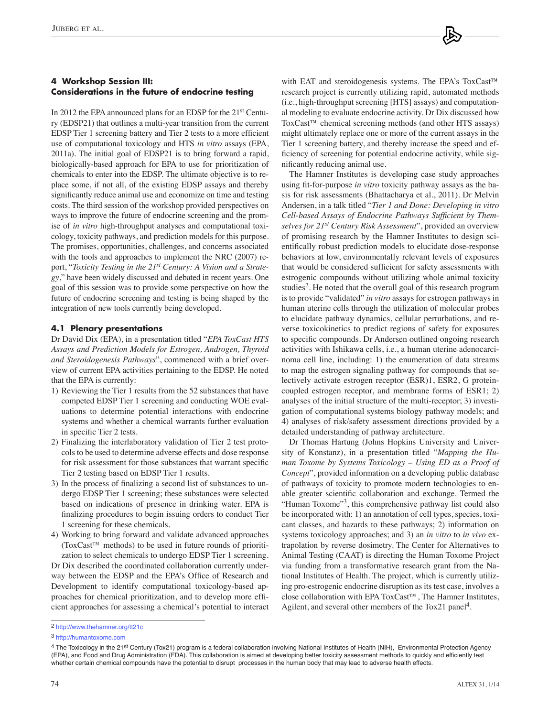# **4 Workshop Session III: Considerations in the future of endocrine testing**

In 2012 the EPA announced plans for an EDSP for the 21<sup>st</sup> Century (EDSP21) that outlines a multi-year transition from the current EDSP Tier 1 screening battery and Tier 2 tests to a more efficient use of computational toxicology and HTS *in vitro* assays (EPA, 2011a). The initial goal of EDSP21 is to bring forward a rapid, biologically-based approach for EPA to use for prioritization of chemicals to enter into the EDSP. The ultimate objective is to replace some, if not all, of the existing EDSP assays and thereby significantly reduce animal use and economize on time and testing costs. The third session of the workshop provided perspectives on ways to improve the future of endocrine screening and the promise of *in vitro* high-throughput analyses and computational toxicology, toxicity pathways, and prediction models for this purpose. The promises, opportunities, challenges, and concerns associated with the tools and approaches to implement the NRC (2007) report, "*Toxicity Testing in the 21st Century: A Vision and a Strategy*," have been widely discussed and debated in recent years. One goal of this session was to provide some perspective on how the future of endocrine screening and testing is being shaped by the integration of new tools currently being developed.

## **4.1 Plenary presentations**

Dr David Dix (EPA), in a presentation titled "*EPA ToxCast HTS Assays and Prediction Models for Estrogen, Androgen, Thyroid and Steroidogenesis Pathways*", commenced with a brief overview of current EPA activities pertaining to the EDSP. He noted that the EPA is currently:

- 1) Reviewing the Tier 1 results from the 52 substances that have competed EDSP Tier 1 screening and conducting WOE evaluations to determine potential interactions with endocrine systems and whether a chemical warrants further evaluation in specific Tier 2 tests.
- 2) Finalizing the interlaboratory validation of Tier 2 test protocols to be used to determine adverse effects and dose response for risk assessment for those substances that warrant specific Tier 2 testing based on EDSP Tier 1 results.
- 3) In the process of finalizing a second list of substances to undergo EDSP Tier 1 screening; these substances were selected based on indications of presence in drinking water. EPA is finalizing procedures to begin issuing orders to conduct Tier 1 screening for these chemicals.
- 4) Working to bring forward and validate advanced approaches (ToxCast™ methods) to be used in future rounds of prioritization to select chemicals to undergo EDSP Tier 1 screening.

Dr Dix described the coordinated collaboration currently underway between the EDSP and the EPA's Office of Research and Development to identify computational toxicology-based approaches for chemical prioritization, and to develop more efficient approaches for assessing a chemical's potential to interact with EAT and steroidogenesis systems. The EPA's ToxCast™ research project is currently utilizing rapid, automated methods (i.e., high-throughput screening [HTS] assays) and computational modeling to evaluate endocrine activity. Dr Dix discussed how ToxCast™ chemical screening methods (and other HTS assays) might ultimately replace one or more of the current assays in the Tier 1 screening battery, and thereby increase the speed and efficiency of screening for potential endocrine activity, while significantly reducing animal use.

The Hamner Institutes is developing case study approaches using fit-for-purpose *in vitro* toxicity pathway assays as the basis for risk assessments (Bhattacharya et al., 2011). Dr Melvin Andersen, in a talk titled "*Tier 1 and Done: Developing in vitro Cell-based Assays of Endocrine Pathways Sufficient by Themselves for 21st Century Risk Assessment*", provided an overview of promising research by the Hamner Institutes to design scientifically robust prediction models to elucidate dose-response behaviors at low, environmentally relevant levels of exposures that would be considered sufficient for safety assessments with estrogenic compounds without utilizing whole animal toxicity studies<sup>2</sup>. He noted that the overall goal of this research program is to provide "validated" *in vitro* assays for estrogen pathways in human uterine cells through the utilization of molecular probes to elucidate pathway dynamics, cellular perturbations, and reverse toxicokinetics to predict regions of safety for exposures to specific compounds. Dr Andersen outlined ongoing research activities with Ishikawa cells, i.e., a human uterine adenocarcinoma cell line, including: 1) the enumeration of data streams to map the estrogen signaling pathway for compounds that selectively activate estrogen receptor (ESR)1, ESR2, G proteincoupled estrogen receptor, and membrane forms of ESR1; 2) analyses of the initial structure of the multi-receptor; 3) investigation of computational systems biology pathway models; and 4) analyses of risk/safety assessment directions provided by a detailed understanding of pathway architecture.

Dr Thomas Hartung (Johns Hopkins University and University of Konstanz), in a presentation titled "*Mapping the Human Toxome by Systems Toxicology – Using ED as a Proof of Concept*", provided information on a developing public database of pathways of toxicity to promote modern technologies to enable greater scientific collaboration and exchange. Termed the "Human Toxome"<sup>3</sup>, this comprehensive pathway list could also be incorporated with: 1) an annotation of cell types, species, toxicant classes, and hazards to these pathways; 2) information on systems toxicology approaches; and 3) an *in vitro* to *in vivo* extrapolation by reverse dosimetry. The Center for Alternatives to Animal Testing (CAAT) is directing the Human Toxome Project via funding from a transformative research grant from the National Institutes of Health. The project, which is currently utilizing pro-estrogenic endocrine disruption as its test case, involves a close collaboration with EPA ToxCast™, The Hamner Institutes, Agilent, and several other members of the  $Tox21$  panel<sup>4</sup>.

<sup>2</sup> <http://www.thehamner.org/tt21c>

<sup>3</sup> <http://humantoxome.com>

<sup>4</sup> The Toxicology in the 21st Century (Tox21) program is a federal collaboration involving National Institutes of Health (NIH), Environmental Protection Agency (EPA), and Food and Drug Administration (FDA). This collaboration is aimed at developing better toxicity assessment methods to quickly and efficiently test whether certain chemical compounds have the potential to disrupt processes in the human body that may lead to adverse health effects.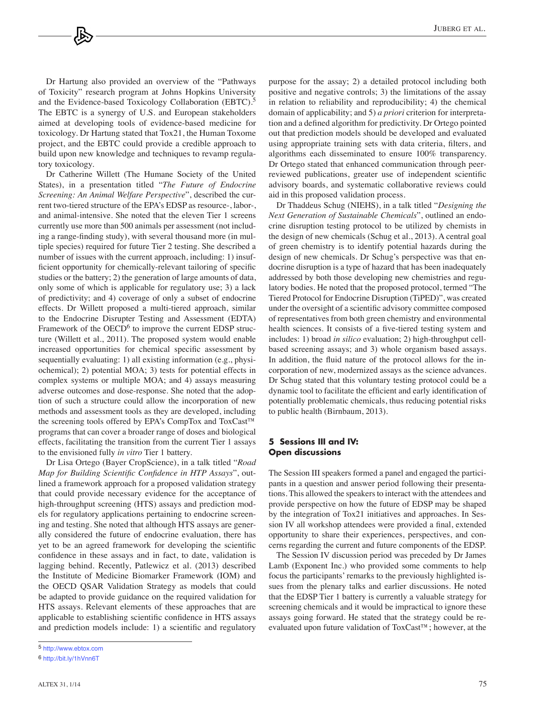Dr Hartung also provided an overview of the "Pathways of Toxicity" research program at Johns Hopkins University and the Evidence-based Toxicology Collaboration (EBTC).<sup>5</sup> The EBTC is a synergy of U.S. and European stakeholders aimed at developing tools of evidence-based medicine for toxicology. Dr Hartung stated that Tox21, the Human Toxome project, and the EBTC could provide a credible approach to build upon new knowledge and techniques to revamp regulatory toxicology.

Dr Catherine Willett (The Humane Society of the United States), in a presentation titled "*The Future of Endocrine Screening: An Animal Welfare Perspective*", described the current two-tiered structure of the EPA's EDSP as resource-, labor-, and animal-intensive. She noted that the eleven Tier 1 screens currently use more than 500 animals per assessment (not including a range-finding study), with several thousand more (in multiple species) required for future Tier 2 testing. She described a number of issues with the current approach, including: 1) insufficient opportunity for chemically-relevant tailoring of specific studies or the battery; 2) the generation of large amounts of data, only some of which is applicable for regulatory use; 3) a lack of predictivity; and 4) coverage of only a subset of endocrine effects. Dr Willett proposed a multi-tiered approach, similar to the Endocrine Disrupter Testing and Assessment (EDTA) Framework of the  $OECD<sup>6</sup>$  to improve the current EDSP structure (Willett et al., 2011). The proposed system would enable increased opportunities for chemical specific assessment by sequentially evaluating: 1) all existing information (e.g., physiochemical); 2) potential MOA; 3) tests for potential effects in complex systems or multiple MOA; and 4) assays measuring adverse outcomes and dose-response. She noted that the adoption of such a structure could allow the incorporation of new methods and assessment tools as they are developed, including the screening tools offered by EPA's CompTox and ToxCast™ programs that can cover a broader range of doses and biological effects, facilitating the transition from the current Tier 1 assays to the envisioned fully *in vitro* Tier 1 battery.

Dr Lisa Ortego (Bayer CropScience), in a talk titled "*Road Map for Building Scientific Confidence in HTP Assays*", outlined a framework approach for a proposed validation strategy that could provide necessary evidence for the acceptance of high-throughput screening (HTS) assays and prediction models for regulatory applications pertaining to endocrine screening and testing. She noted that although HTS assays are generally considered the future of endocrine evaluation, there has yet to be an agreed framework for developing the scientific confidence in these assays and in fact, to date, validation is lagging behind. Recently, Patlewicz et al. (2013) described the Institute of Medicine Biomarker Framework (IOM) and the OECD QSAR Validation Strategy as models that could be adapted to provide guidance on the required validation for HTS assays. Relevant elements of these approaches that are applicable to establishing scientific confidence in HTS assays and prediction models include: 1) a scientific and regulatory

purpose for the assay; 2) a detailed protocol including both positive and negative controls; 3) the limitations of the assay in relation to reliability and reproducibility; 4) the chemical domain of applicability; and 5) *a priori* criterion for interpretation and a defined algorithm for predictivity. Dr Ortego pointed out that prediction models should be developed and evaluated using appropriate training sets with data criteria, filters, and algorithms each disseminated to ensure 100% transparency. Dr Ortego stated that enhanced communication through peerreviewed publications, greater use of independent scientific advisory boards, and systematic collaborative reviews could aid in this proposed validation process.

Dr Thaddeus Schug (NIEHS), in a talk titled "*Designing the Next Generation of Sustainable Chemicals*", outlined an endocrine disruption testing protocol to be utilized by chemists in the design of new chemicals (Schug et al., 2013). A central goal of green chemistry is to identify potential hazards during the design of new chemicals. Dr Schug's perspective was that endocrine disruption is a type of hazard that has been inadequately addressed by both those developing new chemistries and regulatory bodies. He noted that the proposed protocol, termed "The Tiered Protocol for Endocrine Disruption (TiPED)", was created under the oversight of a scientific advisory committee composed of representatives from both green chemistry and environmental health sciences. It consists of a five-tiered testing system and includes: 1) broad *in silico* evaluation; 2) high-throughput cellbased screening assays; and 3) whole organism based assays. In addition, the fluid nature of the protocol allows for the incorporation of new, modernized assays as the science advances. Dr Schug stated that this voluntary testing protocol could be a dynamic tool to facilitate the efficient and early identification of potentially problematic chemicals, thus reducing potential risks to public health (Birnbaum, 2013).

#### **5 Sessions III and IV: Open discussions**

The Session III speakers formed a panel and engaged the participants in a question and answer period following their presentations. This allowed the speakers to interact with the attendees and provide perspective on how the future of EDSP may be shaped by the integration of Tox21 initiatives and approaches. In Session IV all workshop attendees were provided a final, extended opportunity to share their experiences, perspectives, and concerns regarding the current and future components of the EDSP.

The Session IV discussion period was preceded by Dr James Lamb (Exponent Inc.) who provided some comments to help focus the participants' remarks to the previously highlighted issues from the plenary talks and earlier discussions. He noted that the EDSP Tier 1 battery is currently a valuable strategy for screening chemicals and it would be impractical to ignore these assays going forward. He stated that the strategy could be reevaluated upon future validation of ToxCast™; however, at the

<sup>5</sup> <http://www.ebtox.com>

<sup>6</sup> [http://bit.ly/1hVnn6T](http://www.ebtox.com)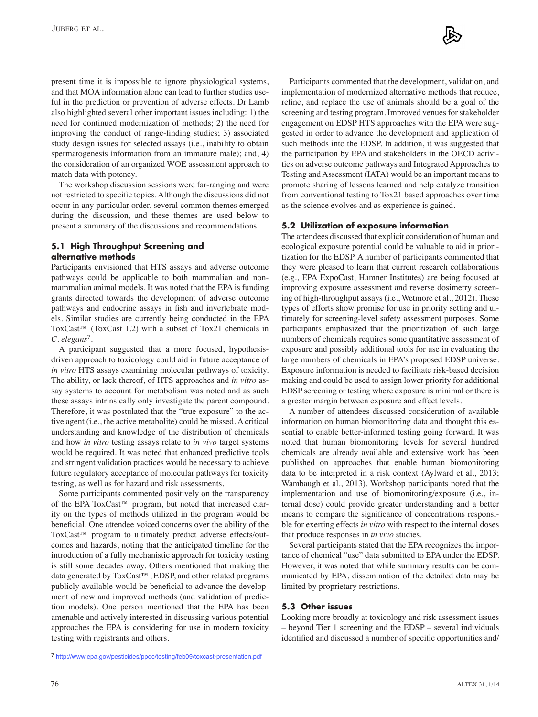present time it is impossible to ignore physiological systems, and that MOA information alone can lead to further studies useful in the prediction or prevention of adverse effects. Dr Lamb also highlighted several other important issues including: 1) the need for continued modernization of methods; 2) the need for improving the conduct of range-finding studies; 3) associated study design issues for selected assays (i.e., inability to obtain spermatogenesis information from an immature male); and, 4) the consideration of an organized WOE assessment approach to match data with potency.

The workshop discussion sessions were far-ranging and were not restricted to specific topics. Although the discussions did not occur in any particular order, several common themes emerged during the discussion, and these themes are used below to present a summary of the discussions and recommendations.

# **5.1 High Throughput Screening and alternative methods**

Participants envisioned that HTS assays and adverse outcome pathways could be applicable to both mammalian and nonmammalian animal models. It was noted that the EPA is funding grants directed towards the development of adverse outcome pathways and endocrine assays in fish and invertebrate models. Similar studies are currently being conducted in the EPA ToxCast<sup>™</sup> (ToxCast 1.2) with a subset of Tox21 chemicals in *C. elegans*7.

A participant suggested that a more focused, hypothesisdriven approach to toxicology could aid in future acceptance of *in vitro* HTS assays examining molecular pathways of toxicity. The ability, or lack thereof, of HTS approaches and *in vitro* assay systems to account for metabolism was noted and as such these assays intrinsically only investigate the parent compound. Therefore, it was postulated that the "true exposure" to the active agent (i.e., the active metabolite) could be missed. A critical understanding and knowledge of the distribution of chemicals and how *in vitro* testing assays relate to *in vivo* target systems would be required. It was noted that enhanced predictive tools and stringent validation practices would be necessary to achieve future regulatory acceptance of molecular pathways for toxicity testing, as well as for hazard and risk assessments.

Some participants commented positively on the transparency of the EPA ToxCast™ program, but noted that increased clarity on the types of methods utilized in the program would be beneficial. One attendee voiced concerns over the ability of the ToxCast™ program to ultimately predict adverse effects/outcomes and hazards, noting that the anticipated timeline for the introduction of a fully mechanistic approach for toxicity testing is still some decades away. Others mentioned that making the data generated by ToxCast™, EDSP, and other related programs publicly available would be beneficial to advance the development of new and improved methods (and validation of prediction models). One person mentioned that the EPA has been amenable and actively interested in discussing various potential approaches the EPA is considering for use in modern toxicity testing with registrants and others.

Participants commented that the development, validation, and implementation of modernized alternative methods that reduce, refine, and replace the use of animals should be a goal of the screening and testing program. Improved venues for stakeholder engagement on EDSP HTS approaches with the EPA were suggested in order to advance the development and application of such methods into the EDSP. In addition, it was suggested that the participation by EPA and stakeholders in the OECD activities on adverse outcome pathways and Integrated Approaches to Testing and Assessment (IATA) would be an important means to promote sharing of lessons learned and help catalyze transition from conventional testing to Tox21 based approaches over time as the science evolves and as experience is gained.

## **5.2 Utilization of exposure information**

The attendees discussed that explicit consideration of human and ecological exposure potential could be valuable to aid in prioritization for the EDSP. A number of participants commented that they were pleased to learn that current research collaborations (e.g., EPA ExpoCast, Hamner Institutes) are being focused at improving exposure assessment and reverse dosimetry screening of high-throughput assays (i.e., Wetmore et al., 2012). These types of efforts show promise for use in priority setting and ultimately for screening-level safety assessment purposes. Some participants emphasized that the prioritization of such large numbers of chemicals requires some quantitative assessment of exposure and possibly additional tools for use in evaluating the large numbers of chemicals in EPA's proposed EDSP universe. Exposure information is needed to facilitate risk-based decision making and could be used to assign lower priority for additional EDSP screening or testing where exposure is minimal or there is a greater margin between exposure and effect levels.

A number of attendees discussed consideration of available information on human biomonitoring data and thought this essential to enable better-informed testing going forward. It was noted that human biomonitoring levels for several hundred chemicals are already available and extensive work has been published on approaches that enable human biomonitoring data to be interpreted in a risk context (Aylward et al., 2013; Wambaugh et al., 2013). Workshop participants noted that the implementation and use of biomonitoring/exposure (i.e., internal dose) could provide greater understanding and a better means to compare the significance of concentrations responsible for exerting effects *in vitro* with respect to the internal doses that produce responses in *in vivo* studies.

Several participants stated that the EPA recognizes the importance of chemical "use" data submitted to EPA under the EDSP. However, it was noted that while summary results can be communicated by EPA, dissemination of the detailed data may be limited by proprietary restrictions.

## **5.3 Other issues**

Looking more broadly at toxicology and risk assessment issues – beyond Tier 1 screening and the EDSP – several individuals identified and discussed a number of specific opportunities and/

<sup>7</sup> <http://www.epa.gov/pesticides/ppdc/testing/feb09/toxcast-presentation.pdf>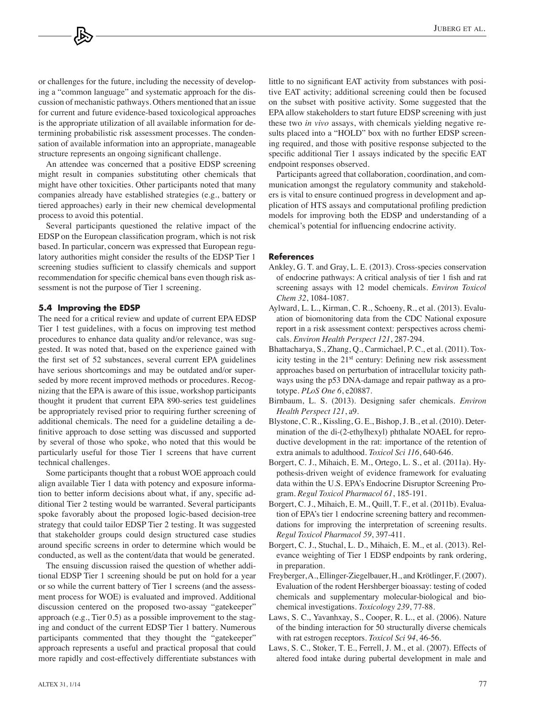or challenges for the future, including the necessity of developing a "common language" and systematic approach for the discussion of mechanistic pathways. Others mentioned that an issue for current and future evidence-based toxicological approaches is the appropriate utilization of all available information for determining probabilistic risk assessment processes. The condensation of available information into an appropriate, manageable structure represents an ongoing significant challenge.

An attendee was concerned that a positive EDSP screening might result in companies substituting other chemicals that might have other toxicities. Other participants noted that many companies already have established strategies (e.g., battery or tiered approaches) early in their new chemical developmental process to avoid this potential.

Several participants questioned the relative impact of the EDSP on the European classification program, which is not risk based. In particular, concern was expressed that European regulatory authorities might consider the results of the EDSP Tier 1 screening studies sufficient to classify chemicals and support recommendation for specific chemical bans even though risk assessment is not the purpose of Tier 1 screening.

#### **5.4 Improving the EDSP**

The need for a critical review and update of current EPA EDSP Tier 1 test guidelines, with a focus on improving test method procedures to enhance data quality and/or relevance, was suggested. It was noted that, based on the experience gained with the first set of 52 substances, several current EPA guidelines have serious shortcomings and may be outdated and/or superseded by more recent improved methods or procedures. Recognizing that the EPA is aware of this issue, workshop participants thought it prudent that current EPA 890-series test guidelines be appropriately revised prior to requiring further screening of additional chemicals. The need for a guideline detailing a definitive approach to dose setting was discussed and supported by several of those who spoke, who noted that this would be particularly useful for those Tier 1 screens that have current technical challenges.

Some participants thought that a robust WOE approach could align available Tier 1 data with potency and exposure information to better inform decisions about what, if any, specific additional Tier 2 testing would be warranted. Several participants spoke favorably about the proposed logic-based decision-tree strategy that could tailor EDSP Tier 2 testing. It was suggested that stakeholder groups could design structured case studies around specific screens in order to determine which would be conducted, as well as the content/data that would be generated.

The ensuing discussion raised the question of whether additional EDSP Tier 1 screening should be put on hold for a year or so while the current battery of Tier 1 screens (and the assessment process for WOE) is evaluated and improved. Additional discussion centered on the proposed two-assay "gatekeeper" approach (e.g., Tier 0.5) as a possible improvement to the staging and conduct of the current EDSP Tier 1 battery. Numerous participants commented that they thought the "gatekeeper" approach represents a useful and practical proposal that could more rapidly and cost-effectively differentiate substances with

ALTEX 31, 1/14 77

little to no significant EAT activity from substances with positive EAT activity; additional screening could then be focused on the subset with positive activity. Some suggested that the EPA allow stakeholders to start future EDSP screening with just these two *in vivo* assays, with chemicals yielding negative results placed into a "HOLD" box with no further EDSP screening required, and those with positive response subjected to the specific additional Tier 1 assays indicated by the specific EAT endpoint responses observed.

Participants agreed that collaboration, coordination, and communication amongst the regulatory community and stakeholders is vital to ensure continued progress in development and application of HTS assays and computational profiling prediction models for improving both the EDSP and understanding of a chemical's potential for influencing endocrine activity.

#### **References**

- Ankley, G. T. and Gray, L. E. (2013). Cross-species conservation of endocrine pathways: A critical analysis of tier 1 fish and rat screening assays with 12 model chemicals. *Environ Toxicol Chem 32*, 1084-1087.
- Aylward, L. L., Kirman, C. R., Schoeny, R., et al. (2013). Evaluation of biomonitoring data from the CDC National exposure report in a risk assessment context: perspectives across chemicals. *Environ Health Perspect 121*, 287-294.
- Bhattacharya, S., Zhang, Q., Carmichael, P. C., et al. (2011). Toxicity testing in the 21<sup>st</sup> century: Defining new risk assessment approaches based on perturbation of intracellular toxicity pathways using the p53 DNA-damage and repair pathway as a prototype. *PLoS One 6*, e20887.
- Birnbaum, L. S. (2013). Designing safer chemicals. *Environ Health Perspect 121*, a9.
- Blystone, C. R., Kissling, G. E., Bishop, J. B., et al. (2010). Determination of the di-(2-ethylhexyl) phthalate NOAEL for reproductive development in the rat: importance of the retention of extra animals to adulthood. *Toxicol Sci 116*, 640-646.
- Borgert, C. J., Mihaich, E. M., Ortego, L. S., et al. (2011a). Hypothesis-driven weight of evidence framework for evaluating data within the U.S. EPA's Endocrine Disruptor Screening Program. *Regul Toxicol Pharmacol 61*, 185-191.
- Borgert, C. J., Mihaich, E. M., Quill, T. F., et al. (2011b). Evaluation of EPA's tier 1 endocrine screening battery and recommendations for improving the interpretation of screening results. *Regul Toxicol Pharmacol 59*, 397-411.
- Borgert, C. J., Stuchal, L. D., Mihaich, E. M., et al. (2013). Relevance weighting of Tier 1 EDSP endpoints by rank ordering, in preparation.
- Freyberger, A., Ellinger-Ziegelbauer, H., and Krötlinger, F. (2007). Evaluation of the rodent Hershberger bioassay: testing of coded chemicals and supplementary molecular-biological and biochemical investigations. *Toxicology 239*, 77-88.
- Laws, S. C., Yavanhxay, S., Cooper, R. L., et al. (2006). Nature of the binding interaction for 50 structurally diverse chemicals with rat estrogen receptors. *Toxicol Sci 94*, 46-56.
- Laws, S. C., Stoker, T. E., Ferrell, J. M., et al. (2007). Effects of altered food intake during pubertal development in male and